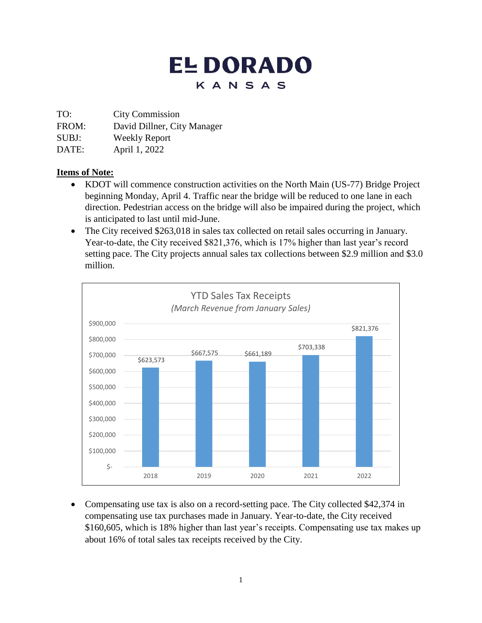# **EL DORADO** KANSAS

TO: City Commission

FROM: David Dillner, City Manager

SUBJ: Weekly Report

DATE: April 1, 2022

### **Items of Note:**

- KDOT will commence construction activities on the North Main (US-77) Bridge Project beginning Monday, April 4. Traffic near the bridge will be reduced to one lane in each direction. Pedestrian access on the bridge will also be impaired during the project, which is anticipated to last until mid-June.
- The City received \$263,018 in sales tax collected on retail sales occurring in January. Year-to-date, the City received \$821,376, which is 17% higher than last year's record setting pace. The City projects annual sales tax collections between \$2.9 million and \$3.0 million.



 Compensating use tax is also on a record-setting pace. The City collected \$42,374 in compensating use tax purchases made in January. Year-to-date, the City received \$160,605, which is 18% higher than last year's receipts. Compensating use tax makes up about 16% of total sales tax receipts received by the City.